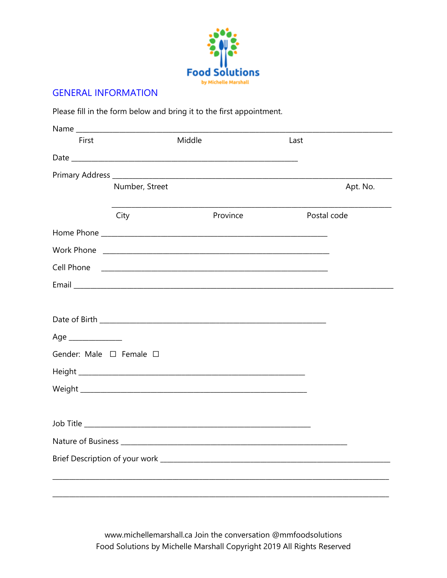

### **GENERAL INFORMATION**

Please fill in the form below and bring it to the first appointment.

| First               | Middle                                                                                                                 |          | Last        |          |
|---------------------|------------------------------------------------------------------------------------------------------------------------|----------|-------------|----------|
|                     |                                                                                                                        |          |             |          |
|                     |                                                                                                                        |          |             |          |
|                     | Number, Street                                                                                                         |          |             | Apt. No. |
|                     | City                                                                                                                   | Province | Postal code |          |
|                     |                                                                                                                        |          |             |          |
|                     |                                                                                                                        |          |             |          |
| Cell Phone          | <u> 1990 - Johann John Stoff, deutscher Stoffen und der Stoffen und der Stoffen und der Stoffen und der Stoffen un</u> |          |             |          |
|                     |                                                                                                                        |          |             |          |
|                     |                                                                                                                        |          |             |          |
|                     |                                                                                                                        |          |             |          |
| Age _______________ |                                                                                                                        |          |             |          |
|                     | Gender: Male □ Female □                                                                                                |          |             |          |
|                     |                                                                                                                        |          |             |          |
|                     |                                                                                                                        |          |             |          |
|                     |                                                                                                                        |          |             |          |
|                     |                                                                                                                        |          |             |          |
|                     |                                                                                                                        |          |             |          |
|                     |                                                                                                                        |          |             |          |
|                     |                                                                                                                        |          |             |          |
|                     |                                                                                                                        |          |             |          |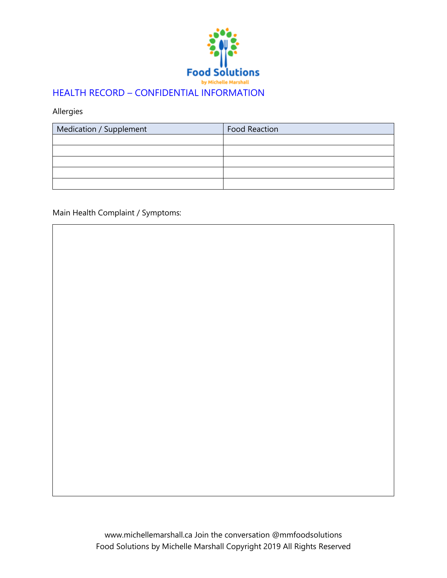

Allergies

| Medication / Supplement | <b>Food Reaction</b> |  |
|-------------------------|----------------------|--|
|                         |                      |  |
|                         |                      |  |
|                         |                      |  |
|                         |                      |  |
|                         |                      |  |

Main Health Complaint / Symptoms: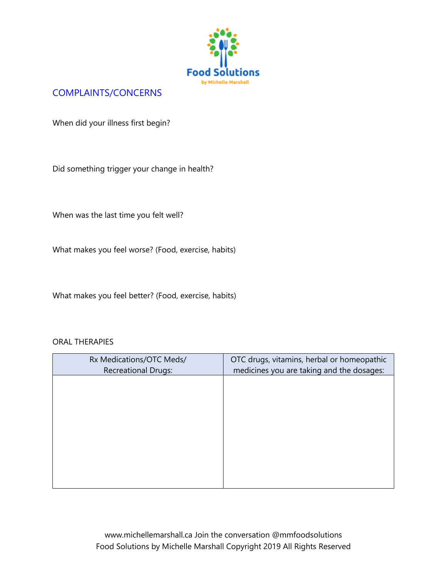

# COMPLAINTS/CONCERNS

When did your illness first begin?

Did something trigger your change in health?

When was the last time you felt well?

What makes you feel worse? (Food, exercise, habits)

What makes you feel better? (Food, exercise, habits)

#### ORAL THERAPIES

| Rx Medications/OTC Meds/   | OTC drugs, vitamins, herbal or homeopathic |
|----------------------------|--------------------------------------------|
| <b>Recreational Drugs:</b> | medicines you are taking and the dosages:  |
|                            |                                            |
|                            |                                            |
|                            |                                            |
|                            |                                            |
|                            |                                            |
|                            |                                            |
|                            |                                            |
|                            |                                            |
|                            |                                            |
|                            |                                            |
|                            |                                            |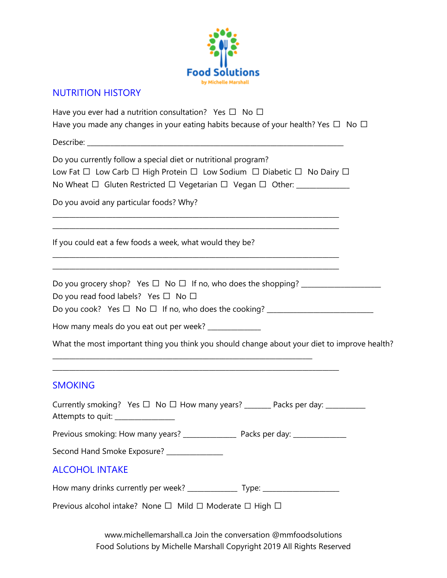

# NUTRITION HISTORY

| Have you ever had a nutrition consultation? Yes $\Box$ No $\Box$<br>Have you made any changes in your eating habits because of your health? Yes $\Box$ No $\Box$                                                   |  |  |  |  |  |  |
|--------------------------------------------------------------------------------------------------------------------------------------------------------------------------------------------------------------------|--|--|--|--|--|--|
|                                                                                                                                                                                                                    |  |  |  |  |  |  |
| Do you currently follow a special diet or nutritional program?<br>Low Fat □ Low Carb □ High Protein □ Low Sodium □ Diabetic □ No Dairy □<br>No Wheat □ Gluten Restricted □ Vegetarian □ Vegan □ Other: ___________ |  |  |  |  |  |  |
| Do you avoid any particular foods? Why?                                                                                                                                                                            |  |  |  |  |  |  |
| If you could eat a few foods a week, what would they be?                                                                                                                                                           |  |  |  |  |  |  |
| <u> 1989 - Johann Stoff, amerikan bestein de stad in de stad in de stad in de stad in de stad in de stad in de st</u><br>Do you read food labels? Yes $\Box$ No $\Box$                                             |  |  |  |  |  |  |
| How many meals do you eat out per week? _____________                                                                                                                                                              |  |  |  |  |  |  |
| What the most important thing you think you should change about your diet to improve health?                                                                                                                       |  |  |  |  |  |  |
| <b>SMOKING</b>                                                                                                                                                                                                     |  |  |  |  |  |  |
| Currently smoking? Yes □ No □ How many years? _______ Packs per day: __________<br>Attempts to quit: ________________                                                                                              |  |  |  |  |  |  |
|                                                                                                                                                                                                                    |  |  |  |  |  |  |
| Second Hand Smoke Exposure? ______________                                                                                                                                                                         |  |  |  |  |  |  |
| <b>ALCOHOL INTAKE</b>                                                                                                                                                                                              |  |  |  |  |  |  |
| How many drinks currently per week? ________________ Type: _____________________                                                                                                                                   |  |  |  |  |  |  |
| Previous alcohol intake? None □ Mild □ Moderate □ High □                                                                                                                                                           |  |  |  |  |  |  |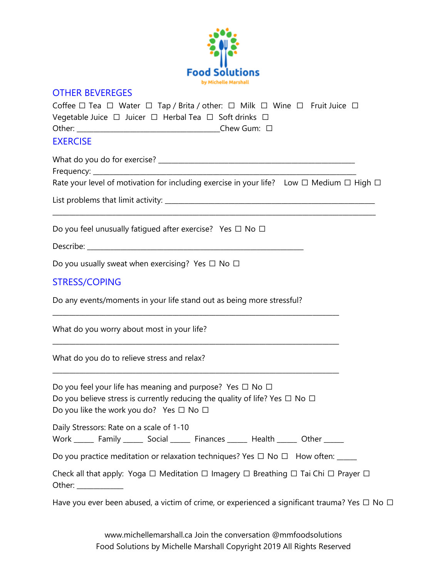

#### OTHER BEVEREGES

| Coffee $\Box$ Tea $\Box$ Water $\Box$ Tap / Brita / other: $\Box$ Milk $\Box$ Wine $\Box$ Fruit Juice $\Box$ |             |
|--------------------------------------------------------------------------------------------------------------|-------------|
| Vegetable Juice $\Box$ Juicer $\Box$ Herbal Tea $\Box$ Soft drinks $\Box$                                    |             |
| Other: ________________________                                                                              | Chew Gum: □ |
| <b>EXERCISE</b>                                                                                              |             |

What do you do for exercise? \_\_\_\_\_\_\_\_\_\_\_\_\_\_\_\_\_\_\_\_\_\_\_\_\_\_\_\_\_\_\_\_\_\_\_\_\_\_\_\_\_\_\_\_\_\_\_\_\_\_\_\_\_\_\_\_\_\_\_

Frequency: \_\_\_\_\_\_\_\_\_\_\_\_\_\_\_\_\_\_\_\_\_\_\_\_\_\_\_\_\_\_\_\_\_\_\_\_\_\_\_\_\_\_\_\_\_\_\_\_\_\_\_\_\_\_\_\_\_\_\_\_\_\_\_\_\_\_\_\_\_\_\_\_\_\_\_\_\_\_\_

Rate your level of motivation for including exercise in your life? Low  $\Box$  Medium  $\Box$  High  $\Box$ 

\_\_\_\_\_\_\_\_\_\_\_\_\_\_\_\_\_\_\_\_\_\_\_\_\_\_\_\_\_\_\_\_\_\_\_\_\_\_\_\_\_\_\_\_\_\_\_\_\_\_\_\_\_\_\_\_\_\_\_\_\_\_\_\_\_\_\_\_\_\_\_\_\_\_\_\_\_\_\_\_\_\_\_\_\_\_\_\_\_\_\_\_\_\_\_\_\_

List problems that limit activity: \_\_\_\_\_\_\_\_\_\_\_\_\_\_\_\_\_\_\_\_\_\_\_\_\_\_\_\_\_\_\_\_\_\_\_\_\_\_\_\_\_\_\_\_\_\_\_\_\_\_\_\_\_\_\_\_\_\_\_\_\_\_\_

Do you feel unusually fatiqued after exercise? Yes  $\Box$  No  $\Box$ 

Describe: \_\_\_\_\_\_\_\_\_\_\_\_\_\_\_\_\_\_\_\_\_\_\_\_\_\_\_\_\_\_\_\_\_\_\_\_\_\_\_\_\_\_\_\_\_\_\_\_\_\_\_\_\_\_\_\_\_\_\_\_\_\_\_\_\_

Do you usually sweat when exercising? Yes  $\Box$  No  $\Box$ 

### STRESS/COPING

Do any events/moments in your life stand out as being more stressful?

\_\_\_\_\_\_\_\_\_\_\_\_\_\_\_\_\_\_\_\_\_\_\_\_\_\_\_\_\_\_\_\_\_\_\_\_\_\_\_\_\_\_\_\_\_\_\_\_\_\_\_\_\_\_\_\_\_\_\_\_\_\_\_\_\_\_\_\_\_\_\_\_\_\_\_\_\_\_\_\_\_\_\_\_\_\_

\_\_\_\_\_\_\_\_\_\_\_\_\_\_\_\_\_\_\_\_\_\_\_\_\_\_\_\_\_\_\_\_\_\_\_\_\_\_\_\_\_\_\_\_\_\_\_\_\_\_\_\_\_\_\_\_\_\_\_\_\_\_\_\_\_\_\_\_\_\_\_\_\_\_\_\_\_\_\_\_\_\_\_\_\_\_

What do you worry about most in your life?

What do you do to relieve stress and relax?

Do you feel your life has meaning and purpose? Yes  $\Box$  No  $\Box$ Do you believe stress is currently reducing the quality of life? Yes  $\Box$  No  $\Box$ Do you like the work you do? Yes  $\Box$  No  $\Box$ 

Daily Stressors: Rate on a scale of 1-10

Work \_\_\_\_\_\_\_ Family \_\_\_\_\_\_\_ Social \_\_\_\_\_\_\_ Finances \_\_\_\_\_\_\_ Health \_\_\_\_\_\_ Other \_\_\_\_\_\_

Do you practice meditation or relaxation techniques? Yes  $\Box$  No  $\Box$  How often: \_\_\_\_

Check all that apply: Yoga  $\Box$  Meditation  $\Box$  Imagery  $\Box$  Breathing  $\Box$  Tai Chi  $\Box$  Prayer  $\Box$ Other: \_\_\_\_\_\_\_\_\_\_\_\_\_\_

Have you ever been abused, a victim of crime, or experienced a significant trauma? Yes  $\Box$  No  $\Box$ 

\_\_\_\_\_\_\_\_\_\_\_\_\_\_\_\_\_\_\_\_\_\_\_\_\_\_\_\_\_\_\_\_\_\_\_\_\_\_\_\_\_\_\_\_\_\_\_\_\_\_\_\_\_\_\_\_\_\_\_\_\_\_\_\_\_\_\_\_\_\_\_\_\_\_\_\_\_\_\_\_\_\_\_\_\_\_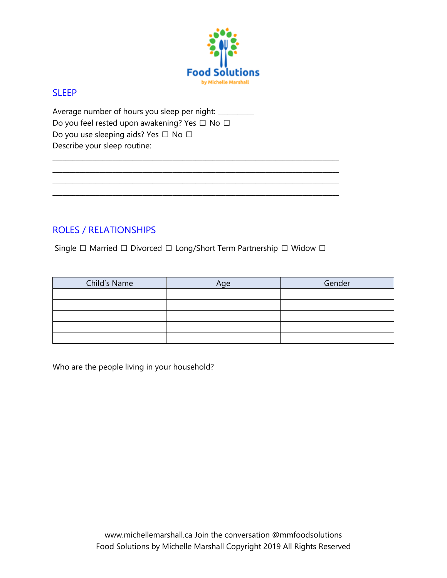

#### **SLEEP**

Average number of hours you sleep per night: \_\_\_\_\_\_\_\_\_ Do you feel rested upon awakening? Yes □ No □ Do you use sleeping aids? Yes □ No □ Describe your sleep routine:

# ROLES / RELATIONSHIPS

Single □ Married □ Divorced □ Long/Short Term Partnership □ Widow □

\_\_\_\_\_\_\_\_\_\_\_\_\_\_\_\_\_\_\_\_\_\_\_\_\_\_\_\_\_\_\_\_\_\_\_\_\_\_\_\_\_\_\_\_\_\_\_\_\_\_\_\_\_\_\_\_\_\_\_\_\_\_\_\_\_\_\_\_\_\_\_\_\_\_\_\_\_\_\_\_\_\_\_\_\_\_ \_\_\_\_\_\_\_\_\_\_\_\_\_\_\_\_\_\_\_\_\_\_\_\_\_\_\_\_\_\_\_\_\_\_\_\_\_\_\_\_\_\_\_\_\_\_\_\_\_\_\_\_\_\_\_\_\_\_\_\_\_\_\_\_\_\_\_\_\_\_\_\_\_\_\_\_\_\_\_\_\_\_\_\_\_\_ \_\_\_\_\_\_\_\_\_\_\_\_\_\_\_\_\_\_\_\_\_\_\_\_\_\_\_\_\_\_\_\_\_\_\_\_\_\_\_\_\_\_\_\_\_\_\_\_\_\_\_\_\_\_\_\_\_\_\_\_\_\_\_\_\_\_\_\_\_\_\_\_\_\_\_\_\_\_\_\_\_\_\_\_\_\_ \_\_\_\_\_\_\_\_\_\_\_\_\_\_\_\_\_\_\_\_\_\_\_\_\_\_\_\_\_\_\_\_\_\_\_\_\_\_\_\_\_\_\_\_\_\_\_\_\_\_\_\_\_\_\_\_\_\_\_\_\_\_\_\_\_\_\_\_\_\_\_\_\_\_\_\_\_\_\_\_\_\_\_\_\_\_

| Child's Name | Age | Gender |
|--------------|-----|--------|
|              |     |        |
|              |     |        |
|              |     |        |
|              |     |        |
|              |     |        |

Who are the people living in your household?